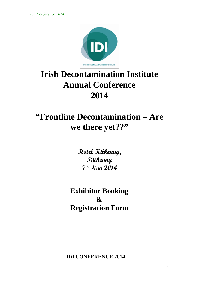*IDI Conference 2014*



# **Irish Decontamination Institute Annual Conference 2014**

## **"Frontline Decontamination – Are we there yet??"**

**Hotel Kilkenny, Kilkenny 7th Nov 2014**

**Exhibitor Booking & Registration Form**

**IDI CONFERENCE 2014**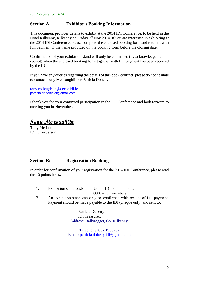#### **Section A: Exhibitors Booking Information**

This document provides details to exhibit at the 2014 IDI Conference, to be held in the Hotel Kilkenny, Kilkenny on Friday 7<sup>th</sup> Nov 2014. If you are interested in exhibiting at the 2014 IDI Conference, please complete the enclosed booking form and return it with full payment to the name provided on the booking form before the closing date.

Confirmation of your exhibition stand will only be confirmed (by acknowledgement of receipt) when the enclosed booking form together with full payment has been received by the IDI.

If you have any queries regarding the details of this book contract, please do not hesitate to contact Tony Mc Loughlin or Patricia Doheny.

[tony.mcloughlin@deconidi.ie](mailto:tony.mcloughlin@deconidi.ie) [patricia.doheny.idi@gmail.com](mailto:patricia.doheny.idi@gmail.com)

I thank you for your continued participation in the IDI Conference and look forward to meeting you in November.

**Tony Mc loughlin**

Tony Mc Loughlin IDI Chairperson

#### **Section B: Registration Booking**

In order for confirmation of your registration for the 2014 IDI Conference, please read the 10 points below:

\_\_\_\_\_\_\_\_\_\_\_\_\_\_\_\_\_\_\_\_\_\_\_\_\_\_\_\_\_\_\_\_\_\_\_\_\_\_\_\_\_\_\_\_\_\_\_\_\_\_\_\_\_\_\_\_\_\_\_\_\_\_\_\_\_\_\_\_\_

1. Exhibition stand costs  $\bigoplus$  50 - IDI non members.

 $600 - IDI$  members

2. An exhibition stand can only be confirmed with receipt of full payment. Payment should be made payable to the IDI (cheque only) and sent to:

> Patricia Doheny IDI Treasurer, Address: Ballyragget, Co. Kilkenny.

Telephone: 087 1960252 Email: [patricia.doheny.idi@gmail.com](mailto:patricia.doheny.idi@gmail.com)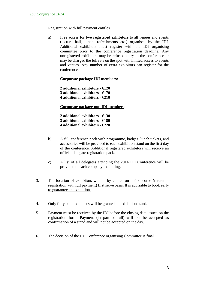Registration with full payment entitles

a) Free access for **two registered exhibitors** to all venues and events (lecture hall, lunch, refreshments etc.) organised by the IDI. Additional exhibitors must register with the IDI organising committee prior to the conference registration deadline. Any unregistered exhibitors may be refused entry to the conference or may be charged the full rate on the spot with limited access to events and venues. Any number of extra exhibitors can register for the conference.

**Corporate package IDI members:**

**2 additional exhibitors - €120 3 additional exhibitors - €170 4 additional exhibitors - €210**

**Corporate package non IDI members**:

**2 additional exhibitors - €130 3 additional exhibitors - €180 4 additional exhibitors - €220**

- b) A full conference pack with programme, badges, lunch tickets, and accessories will be provided to each exhibition stand on the first day of the conference. Additional registered exhibitors will receive an official delegate registration pack.
- c) A list of all delegates attending the 2014 IDI Conference will be provided to each company exhibiting.
- 3. The location of exhibitors will be by choice on a first come (return of registration with full payment) first serve basis. It is advisable to book early to guarantee an exhibition.
- 4. Only fully paid exhibitors will be granted an exhibition stand.
- 5. Payment must be received by the IDI before the closing date issued on the registration form. Payment (in part or full) will not be accepted as confirmation of a stand and will not be accepted on the day.
- 6. The decision of the IDI Conference organising Committee is final.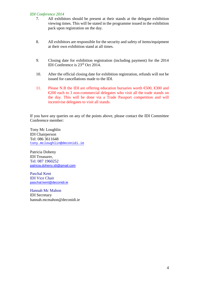#### *IDI Conference 2014*

- 7. All exhibitors should be present at their stands at the delegate exhibition viewing times. This will be stated in the programme issued in the exhibition pack upon registration on the day.
- 8. All exhibitors are responsible for the security and safety of items/equipment at their own exhibition stand at all times.
- 9. Closing date for exhibition registration (including payment) for the 2014 IDI Conference is 23rd Oct 2014.
- 10. After the official closing date for exhibition registration, refunds will not be issued for cancellations made to the IDI.
- 11. Please N.B the IDI are offering education bursaries worth  $\epsilon$ 500,  $\epsilon$ 300 and €200 each to 3 non-commercial delegates who visit all the trade stands on the day. This will be done via a Trade Passport competition and will incentivise delegates to visit all stands.

If you have any queries on any of the points above, please contact the IDI Committee Conference member:

Tony Mc Loughlin IDI Chairperson Tel: 086 3611648 [tony.mcloughlin@deconidi.ie](mailto:tony.mcloughlin@deconidi.ie)

Patricia Doheny IDI Treasurer, Tel: 087 1960252 [patricia.doheny.idi@gmail.com](mailto:patricia.doheny.idi@gmail.com)

Paschal Kent IDI Vice Chair [paschal.kent@deconidi.ie](mailto:paschal.kent@deconidi.ie)

Hannah Mc Mahon IDI Secretary hannah.mcmahon@deconidi.ie